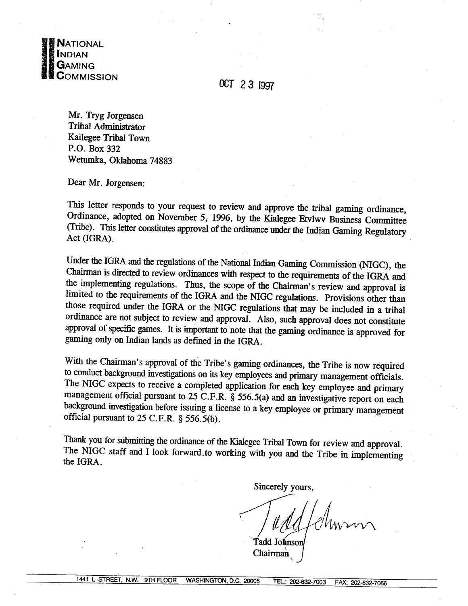

OCT 23 1997

Mr. Tryg Jorgensen Tribal Admjnistrator Kailegee Tribal Town **P.O.** Box 332 Wetumka, Oklahoma 74883

Dear Mr. Jorgensen:

This letter responds to your request to review and approve the tribal gaming ordinance, Ordinance, adopted on November 5, 1996, by the Kialegee **Etvlwv** Business Committee (Tribe). This letter constitutes approval of the ordinance under the Indian Gaming Regulatory Act (IGRA).

Under the IGRA and the regulations of the National Indian Gaming Commission (NIGC), the Chairman is directed to review ordinances with respect to the requirements of the IGRA and the implementing regulations. Thus, the scope of the Chairman's review and approval is limited to the requirements of the IGRA and the NIGC regulations. Provisions other than those required under the IGRA or the NIGC regulations that may be included in a tribal ordinance are not subject to review and approval. Also, such approval does not constitute approval of specific games. It is important to note that the gaming ordinance is approved for gaming only on Indian lands as defined in the IGRA.

With the Chairman's approval of the Tribe's gaming ordinances, the Tribe is now required to conduct background investigations on its key employees and primary management officials. The NIGC expects to receive a completed application for each key employee and primary management official pursuant to 25 **C.F.R.** § 556.5(a) and an investigative report on each background investigation before issuing a license to a key employee or primary management official pursuant to 25 C.F.R. *5* 556.5(b).

**Thank** you for submitting the ordinance of the Kialegee Tribal Town for review and approval. The NIGC staff and I look forward-to working with you and the Tribe in implementing the IGRA.

Sincerely yours,

Fadd Johnson Chairman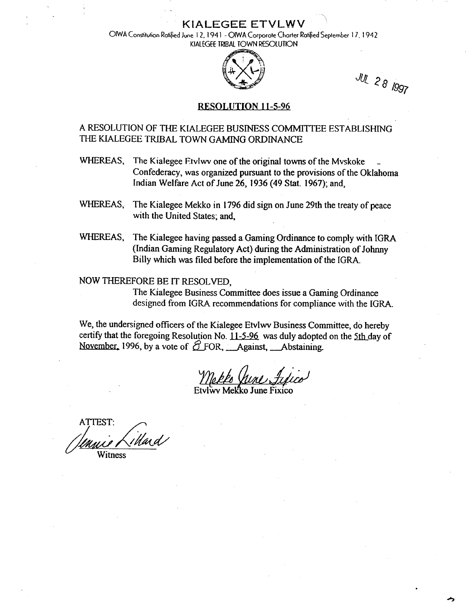**KlAtEGEE ETVLWV** '

OlWA **Constitution Rotified June I** 2. **194 1** - **OlWA Corporate Charter Rotified Seeember** I **7. 1 942 KIALEGfE TRIBAL TOWN RESOLUTON** 



JUL 28 1997

### **RESOLUTION 11-5-96**

## **A** RESOLUTION OF THE KiALEGEE BUSINESS COMMITTEE ESTABLISHING THE KLALEGEE TRIBAL TOWN GAMING ORDINANCE

- WHEREAS, The Kialegee Etvlwy one of the original towns of the Myskoke Confederacy, was organized pursuant to the provisions of the Oklahoma Indian Welfare Act of June 26, 1936 (49 Stat. 1967); and,
- WHEREAS, The Kialegee Mekko in 1796 did sign on June 29th the treaty of peace with the United States; and,
- WHEREAS, The Kialegee having passed a Gaming Ordinance to comply with IGRA (Indian Gaming Regulatory Act) during the Administration of Johnny Billy which was filed before the implementation of the IGRA.

### **NOW** THEREFORE BE IT RESOLVED,

The Kialegee Business Committee does issue a Gaming Ordinance designed from IGRA recommendations for compliance with the IGRA.

We, the undersigned officers of the Kialegee **Etviwv** Business Committee, do hereby certify that the foregoing Resolution No. 11-5-96 was duly adopted on the 5th day of November, 1996, by a vote of  $\widehat{\mathcal{O}}$  FOR, **Against**, **Abstaining.** 

ATTEST:<br>Immig Liblard **V** Witness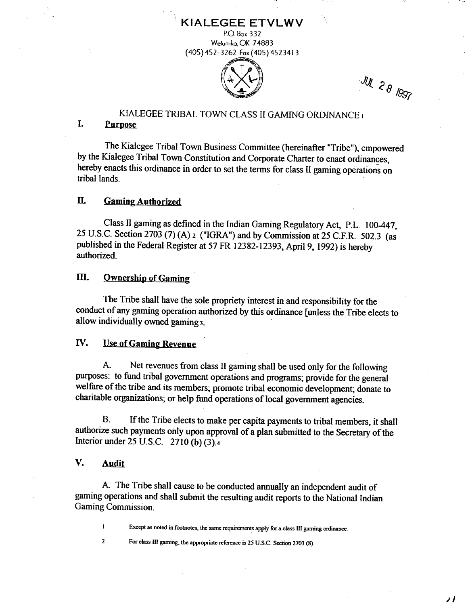

 $\mathcal{W}_{2,\rho}$ 

 $1992$ 

**KIALEGEE ETVLWV** P.O. **Box 3 3 <sup>2</sup>**

**KIALEGEE** TRIBAL TOWN CLASS I1 GAMING ORDINANCE I

### **1.** PurDose

The Kialegee Tribal Town Business Committee (hereinafter "Tribe"), empowered by the Kialegee Tribal Town Constitution and Corporate Charter to enact ordinances, hereby enacts this ordinance in order to set the terms for class 11 gaming operations on tribal lands.

### **11. Gaming Authorized**

Class I1 gaming as defined in the Indian Gaming Regulatory Act, P.L. 100-447, 25 U.S.C. Section 2703 (7) (A) 2 ("IGRA") and by Commission at 25 C.F.R. 502.3 (as published in the Federal Register at 57 FR 12382-12393, April 9, 1992) is hereby authorized.

#### Ш. **Ownership of Gaming**

The Tribe shall have the sole propriety interest in and responsibility for the conduct of any **gaming** operation authorized by this ordinance [unless the Tribe elects to allow individually owned gaming 3.

## *<u>IV.* Use of Gaming Revenue</u>

A. Net revenues from class 11 gaming shall be used only for the following purposes: to fund tribal government operations and programs; provide for the general welfare of the tribe and its members; promote tribal economic development; donate to charitable organizations; or help fund operations of local government agencies.

**B.** If the Tribe elects to make per capita payments to tribal members, it shall authorize such payments only upon approval of a plan submitted to the Secretary of the Interior under 25 U.S.C. 2710 (b) **(3).4** 

### **V. Audit**

 $\mathbf{I}$  $\overline{2}$ 

A. The Tribe shall cause to be conducted annually an independent audit of gaming operations and shall submit the resulting audit reports to the National Indian Gaming Commission.

**<sup>1</sup>Except as noted in footnotes. the same requirements apply for a class <sup>111</sup>gaming ordinance.** 

**2 For class I11 gaming, the appropriate reference is 25 U.S.C. Section 2703 (8).**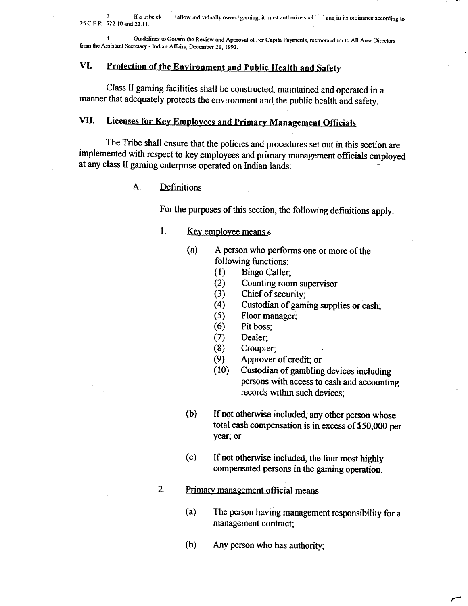**<sup>4</sup>Guidelines to GOV& the Review and Approval of Per Capita Payments, memorandum to All Area Directors**  from the Assistant Secretary - Indian Affairs, December 21, 1992.

# VI. Protection of the Environment and Public Health and Safety

Class **I1** gaming facilities shall be constructed, maintained and operated in **a**  manner that adequately protects the environment and the public health and safety.

# **VII.** Licenses for Key Employees and Primary Management Officials

The Tribe shall ensure that the policies and procedures set out in this section are implemented with respect to key employees and primary management officials employed at any class II gaming enterprise operated on Indian lands:

#### $A<sub>1</sub>$ Definitions

For the purposes of this section, the foIlowing definitions apply:

- 1. Key employee means  $\epsilon$ 
	- (a) **A** person who performs one or more of the following functions:
		- (1) Bingo Caller;
		- (2) Counting room supervisor
		- (3) Chief of security;
		- (4) Custodian of gaming supplies or cash;
		- (5) Floor manager;
		- (6) Pit boss;
		- (7) Dealer;
		- (8) Croupier;
		- (9) Approver of credit; or
		- (10) Custodian of gambling devices including persons with access to cash and accounting records within such devices;
	- (b) If not otherwise included, any other person whose total cash compensation is in excess of **\$50,000** per year; or
	- (c) If not otherwise included, the four most highly compensated persons in the gaming operation.

#### $2.$ Primary management official means

- (a) The person having management responsibility for a management contract;
- **(b)** Any person who has authority;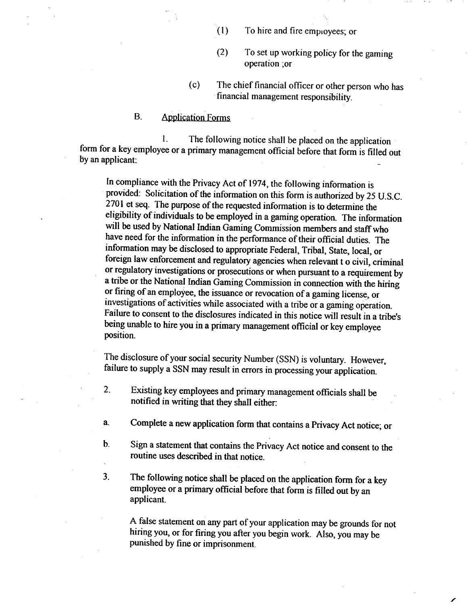- (1) To hire and fire employees; or
- (2) To set up working policy for the gaming operation ;or
- (c) The chief financial oficer or other person who has financial management responsibility.

### B. Application Forms

**1.** The following notice shall be placed on the application form for a key employee or a primary management official before that form is filled out  $\mathbf{b}$  an applicant:

In compliance with the Privacy Act of 1974, the following information is provided: Solicitation of the information on this form is authorized by 25 U.S.C. 2701 et seq. The purpose of the requested information is to determine the eligibility of individuals to be employed in a gaming operation. The information will be used by National Indian Gaming Commission members and staff who have need for the information in the performance of their oficial duties. The information may be disclosed to appropriate Federal, Tribal, State, local, or foreign law enforcement and regulatory agencies when relevant t o civil, criminal or regulatory investigations or prosecutions or when pursuant to a requirement by a tribe or the National Indian Gaming Commission in connection with the hiring or firing of an employee, the issuance or revocation of a gaming license, or investigations of activities while associated with a tribe or a gaming operation. Failure to consent to the disclosures indicated in this notice will result in a tribe's being unable to hire you in a primary management official or key employee position.

The disclosure of your social security Number (SSN) is voluntary. However, failure to supply a SSN may result in errors in processing your application.

- **2.** Existing key employees and primary management officials shall be notified in writing that they shall either:
- a. Complete a new application form that contains a Privacy Act notice; or
- **b.** Sign a statement that contains the Privacy Act notice and consent to the routine uses described in that notice.
- **3.** The following notice shall be placed on the application form for a key employee or a primary official before that form is filled out by an applicant.

A false statement on any part of your application may be grounds for not hiring you, or for firing you after you begin work. Also, you may be punished by fine or imprisonment.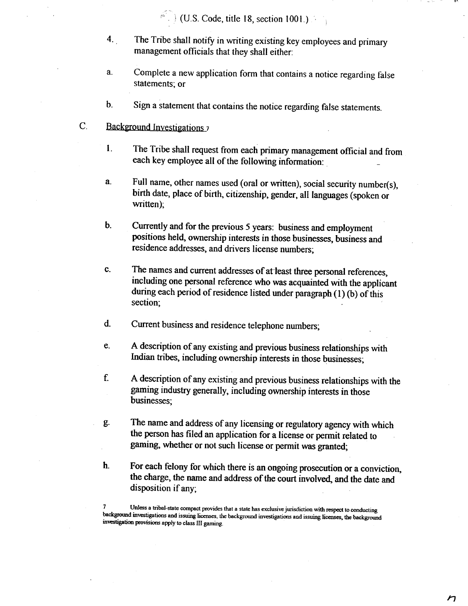(U.S. Code, title 18, section 1001.)

- **4.** The Tribe shall notify in writing existing key employees and primary management officials that they shall either:
- **a.** Complete a new application fonn that contains a notice regarding false statements; or
- b. Sign a statement that contains the notice regarding false statements.
- C. Background Investigations 7
	- **I.** The Tribe shall request from each primary management official and from each key employee all of the following information:
	- **a.** Full name, other names used (oral or written), social security number(s), birth date, place of birth, citizenship, gender, a11 languages (spoken or written);
	- **b.** Currently and for the previous 5 years: business and employment positions held, ownership interests in those businesses, business and residence addresses, and drivers license numbers;
	- c. The names and current addresses of at least three personal references, including one personal reference who **was** acquainted with the applicant during &ch period of residence listed under paragraph **(1) (b)** of this section;
	- d. Current business and residence telephone numbers;
	- *e.* A description of any existing and previous business relationships with Indian tribes, including ownership interests in those businesses;
	- **f A** description of any existing and previous business relationships with the gaming industry generally, including ownership interests in those businesses;
	- g. The name and address of any licensing or regulatory agency with which the person has filed an application for a license or permit related to gaming, whether or not such license or permit was granted;
	- **h.** For each felony for which there is an ongoing prosecution or a conviction, the charge, the name and address of the court involved, and the date and disposition if any;

Unless a tribal-state compact provides that a state has exclusive jurisdiction with respect to conducting **bsckgfWnd investigations and issuing licenses, the backgrwnd investigations and issuing licenses, the backgmund investigation provisions apply to class Ill gaming.** 

Η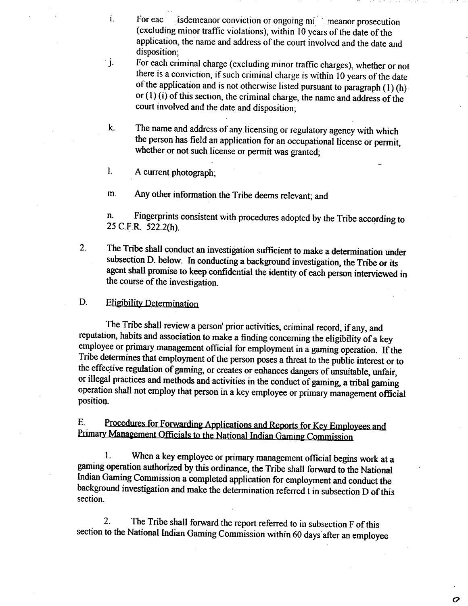- **I. For eac** is demeanor conviction or ongoing mi meanor prosecution (excluding minor traffic violations), within 10 years of the date of the application, the name and address of the court involved and the date and disposition;
- **j-** For each criminal charge (excluding minor traffic charges), whether or not there is a conviction, if such criminal charge is within 10 years of the date of the application and is not otherwise listed pursuant to paragraph (1) (h) or (1) (i) of this section, the criminal charge, the name and address of the court involved and the date and disposition;
- **k.** The name and address of any licensing or regulatory agency with which the person has field an application for an occupational license or permit, whether or not such license or permit was granted;
- 1. **A** current photograph;

m. Any other information the Tribe deems relevant; and

n. Fingerprints consistent with procedures adopted by the Tribe according to 25 **C.F.R. 522.2(h).** 

2. The Tribe shall conduct an investigation sufficient to make a determination under subsection D. below. In conducting a background investigation, the Tribe or its agent shall promise to keep confidential the identity of each person interviewed in the course of the investigation.

#### D. **Eligibility Determination**

The Tribe shall review a person' prior activities, criminal record, if any, and reputation, habits and association to make a finding concerning the eligibility of a key employee or primary management oficial for employment in a gaming operation. If the Tribe determines that employment of the person poses a threat to the public interest or to the effective regulation of gaming, or creates or enhances dangers of unsuitable, unfair, or illegal practices and methods and activities in the conduct of gaming, a tribal gaming operation shall not employ that person in a key employee or primary management official position.

E. Procedures for Forwarding Applications and Reports for Key Employees and<br>Primary Management Officials to the National Indian Gaming Commission

**1.** When a key employee or primary management official begins work at a gaming operation authorized by this ordinance, the Tribe shall forward to the National Indian **Gaming** Commission a completed application for employment and conduct the background investigation and make the determination referred t in subsection D of this section.

2. The Tribe shall forward the report referred to in subsection F of this section to the National Indian Gaming Commission within 60 days after an employee

O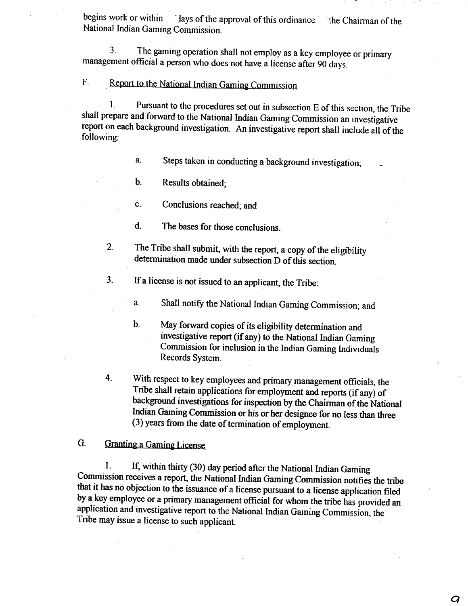begins work or within ' lays of the approval of this ordinance ' the Chairman of the National Indian Gaming Commission.

**3.** The gaming operation shall not employ as a key employee or primary management official a person who does not have a license after 90 days.

# F. **Report to the National Indian Gaming Commission**

**1.** Pursuant to the procedures set out in subsection E of this section, the Tribe shall prepare and forward to the National Indian Gaming Commission an investigative report on each background investigation. An investigative report shall include all of the following:

a. Steps taken in conducting a background investigation;

b. Results obtained;

c. Conclusions reached; and

d. The bases for those conclusions.

2. The Tribe shall submit, with the report, a copy of the eligibility determination made under subsection D of this section.

**3.** If a license is not issued to an applicant, the Tribe:

**a.** Shall notify the National Indian Gaming Commission; and

- b. May forward copies of its eligibility determination and investigative report (if any) to the National Indian Gaming Commission for inclusion in the Indian Gaming Individuals Records System.
- **4.** With respect to key employees and primary management officials, the Tribe shall retain applications for employment and reports (if any) of background investigations for inspection by the Chairman of the National Indian Gaming Commission or his or her designee for no less than three (3) years from the date of termination of employment.

#### G. **Granting a Gaming License**

**1.** If, within thirty (30) day period after the National Indian Gaming Commission receives a report, the National Indian Gaming Commission notifies the tribe that it has no objection to the issuance of a license pursuant to a license application filed by a key employee or a primary management oficial for whom the tribe has provided an application and investigative report to the National Indian Gaming Commission, the Tribe may issue a license to such applicant.

 $\boldsymbol{Q}$